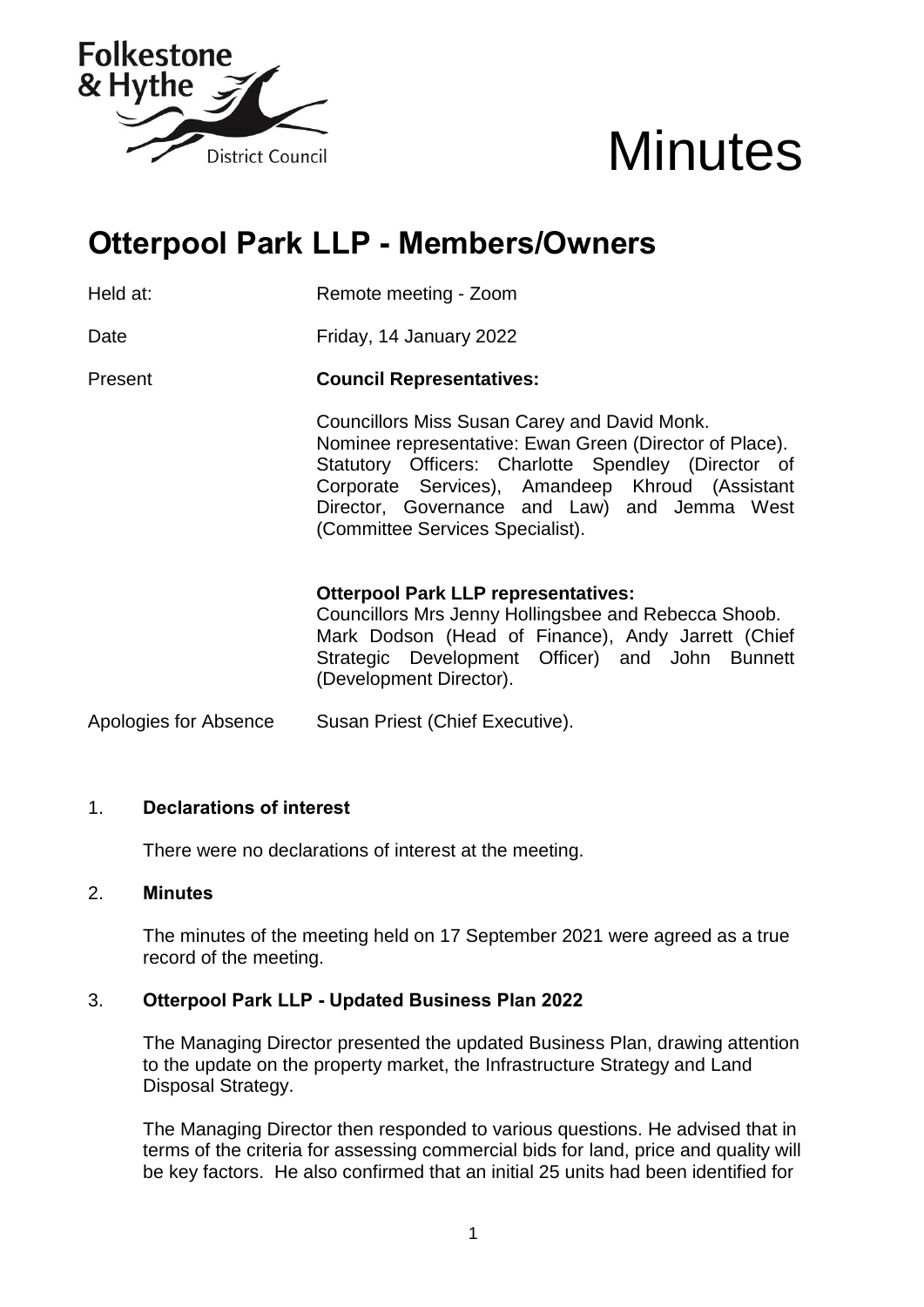



# **Otterpool Park LLP - Members/Owners**

Held at: Remote meeting - Zoom

Date **Friday, 14 January 2022** 

Present **Council Representatives:**

Councillors Miss Susan Carey and David Monk. Nominee representative: Ewan Green (Director of Place). Statutory Officers: Charlotte Spendley (Director of Corporate Services), Amandeep Khroud (Assistant Director, Governance and Law) and Jemma West (Committee Services Specialist).

#### **Otterpool Park LLP representatives:**

Councillors Mrs Jenny Hollingsbee and Rebecca Shoob. Mark Dodson (Head of Finance), Andy Jarrett (Chief Strategic Development Officer) and John Bunnett (Development Director).

Apologies for Absence Susan Priest (Chief Executive).

# 1. **Declarations of interest**

There were no declarations of interest at the meeting.

#### 2. **Minutes**

The minutes of the meeting held on 17 September 2021 were agreed as a true record of the meeting.

# 3. **Otterpool Park LLP - Updated Business Plan 2022**

The Managing Director presented the updated Business Plan, drawing attention to the update on the property market, the Infrastructure Strategy and Land Disposal Strategy.

The Managing Director then responded to various questions. He advised that in terms of the criteria for assessing commercial bids for land, price and quality will be key factors. He also confirmed that an initial 25 units had been identified for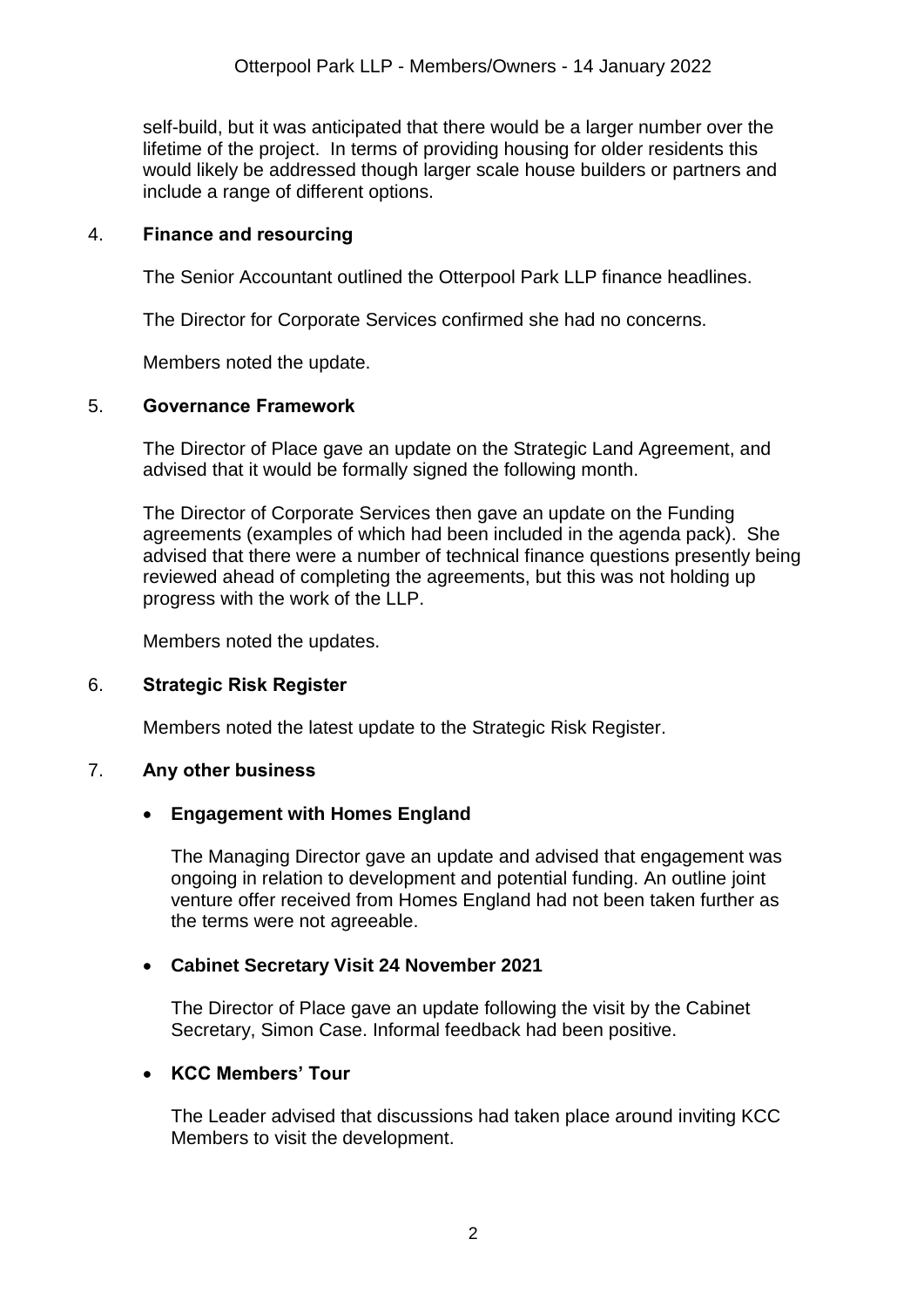self-build, but it was anticipated that there would be a larger number over the lifetime of the project. In terms of providing housing for older residents this would likely be addressed though larger scale house builders or partners and include a range of different options.

#### 4. **Finance and resourcing**

The Senior Accountant outlined the Otterpool Park LLP finance headlines.

The Director for Corporate Services confirmed she had no concerns.

Members noted the update.

#### 5. **Governance Framework**

The Director of Place gave an update on the Strategic Land Agreement, and advised that it would be formally signed the following month.

The Director of Corporate Services then gave an update on the Funding agreements (examples of which had been included in the agenda pack). She advised that there were a number of technical finance questions presently being reviewed ahead of completing the agreements, but this was not holding up progress with the work of the LLP.

Members noted the updates.

# 6. **Strategic Risk Register**

Members noted the latest update to the Strategic Risk Register.

#### 7. **Any other business**

#### **Engagement with Homes England**

The Managing Director gave an update and advised that engagement was ongoing in relation to development and potential funding. An outline joint venture offer received from Homes England had not been taken further as the terms were not agreeable.

# **Cabinet Secretary Visit 24 November 2021**

The Director of Place gave an update following the visit by the Cabinet Secretary, Simon Case. Informal feedback had been positive.

# **KCC Members' Tour**

The Leader advised that discussions had taken place around inviting KCC Members to visit the development.